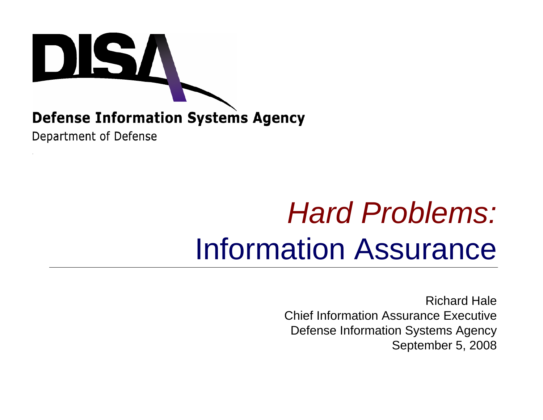

#### **Defense Information Systems Agency**

Department of Defense

# *Hard Problems:* Information Assurance

Richard HaleChief Information Assurance ExecutiveDefense Information Systems Agency September 5, 2008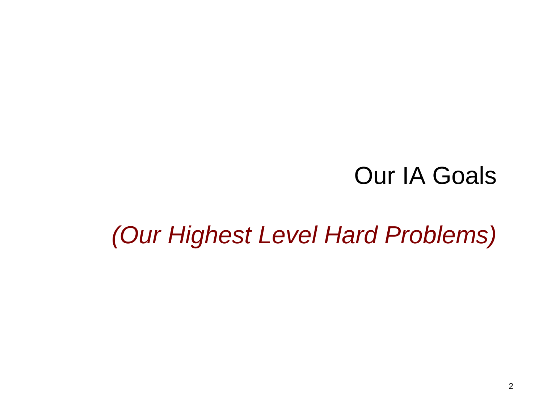#### Our IA Goals

#### *(Our Highest Level Hard Problems)*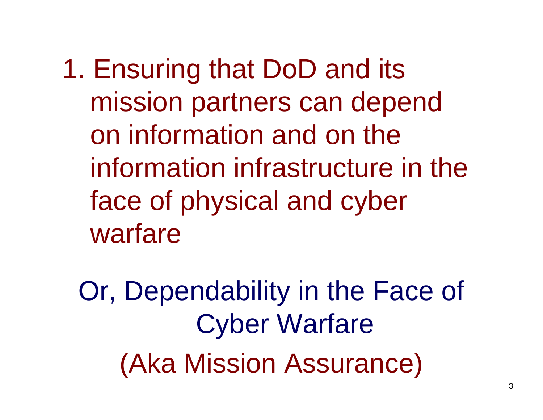1. Ensuring that DoD and its mission partners can depend on information and on the information infrastructure in the face of physical and cyber warfare

Or, Dependability in the Face of Cyber Warfare (Aka Mission Assurance)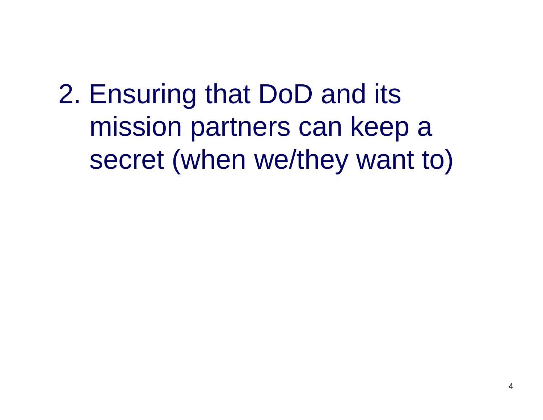2. Ensuring that DoD and its mission partners can keep a secret (when we/they want to)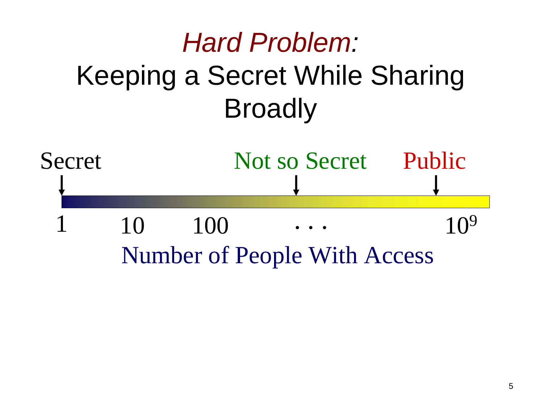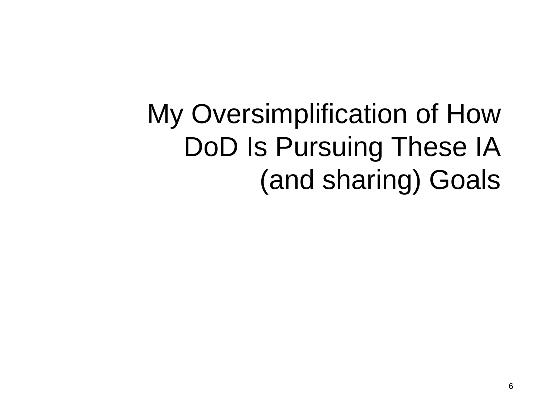# My Oversimplification of How DoD Is Pursuing These IA (and sharing) Goals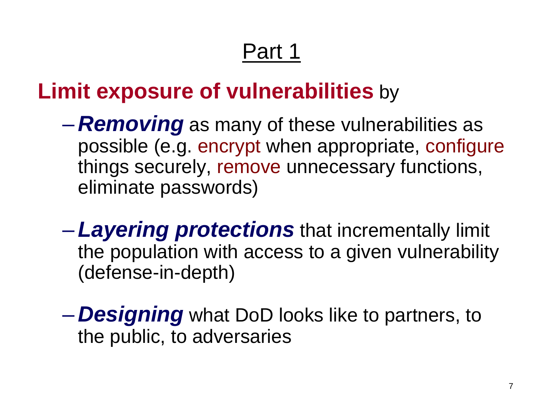#### Part 1

#### **Limit exposure of vulnerabilities** by

- $\mathcal{L}_{\mathcal{A}}$  , and the set of  $\mathcal{L}_{\mathcal{A}}$  *Removing* as many of these vulnerabilities as possible (e.g. encrypt when appropriate, configure things securely, remove unnecessary functions, eliminate passwords)
- –*Layering protections* that incrementally limit the population with access to a given vulnerability (defense-in-depth)
- $\mathcal{L}_{\mathcal{A}}$  , and the set of  $\mathcal{L}_{\mathcal{A}}$  *Designing* what DoD looks like to partners, to the public, to adversaries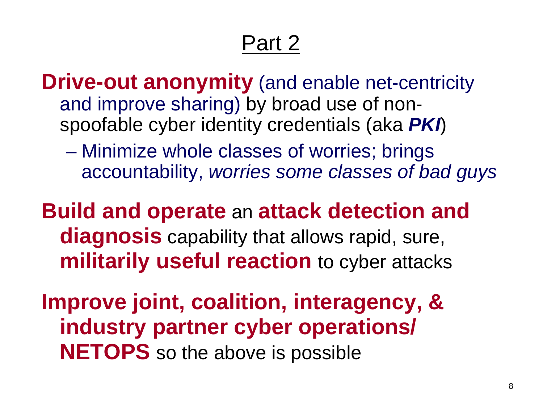### Part 2

**Drive-out anonymity** (and enable net-centricity and improve sharing) by broad use of nonspoofable cyber identity credentials (aka *PKI*)

 $\mathcal{L}_{\mathcal{A}}$  , the state of the state  $\mathcal{L}_{\mathcal{A}}$  Minimize whole classes of worries; brings accountability, *worries some classes of bad guys*

**Build and operate** an **attack detection and diagnosis** capability that allows rapid, sure, **militarily useful reaction** to cyber attacks

**Improve joint, coalition, interagency, & industry partner cyber operations/ NETOPS** so the above is possible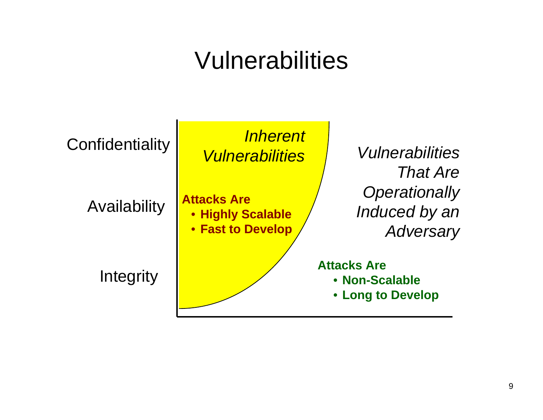### Vulnerabilities

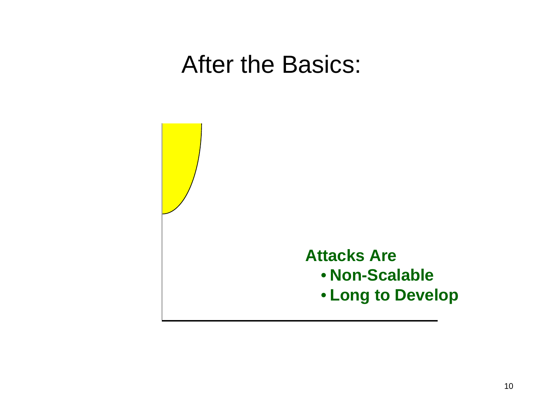#### After the Basics:

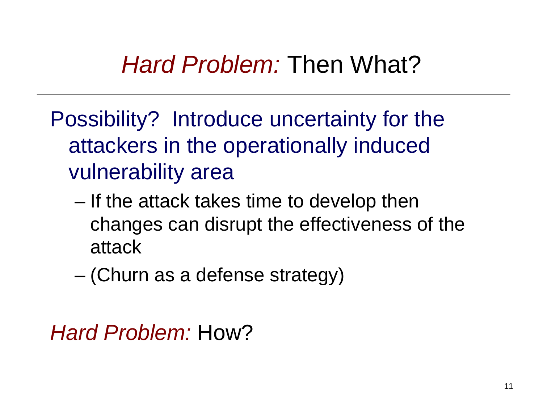# *Hard Problem:* Then What?

- Possibility? Introduce uncertainty for the attackers in the operationally induced vulnerability area
	- – If the attack takes time to develop then changes can disrupt the effectiveness of the attack
	- –(Churn as a defense strategy)

```
Hard Problem: How?
```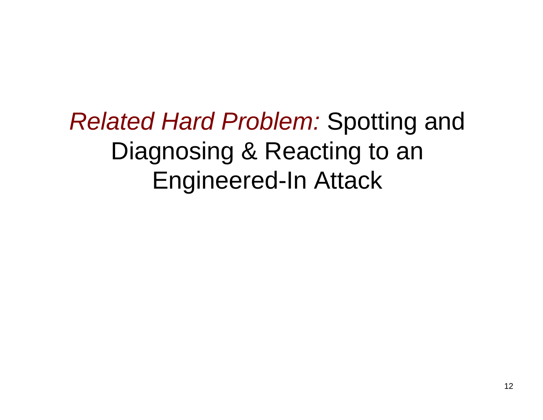*Related Hard Problem:* Spotting and Diagnosing & Reacting to an Engineered-In Attack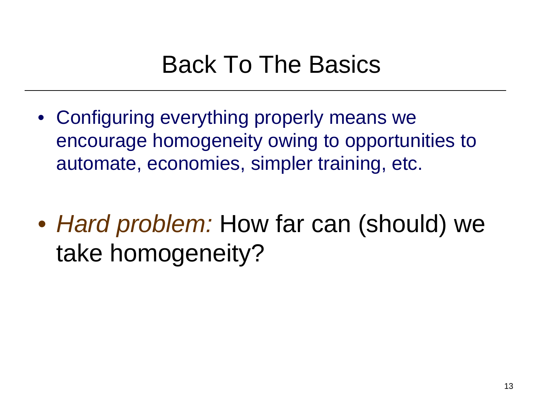# Back To The Basics

- Configuring everything properly means we encourage homogeneity owing to opportunities to automate, economies, simpler training, etc.
- *Hard problem:* How far can (should) we take homogeneity?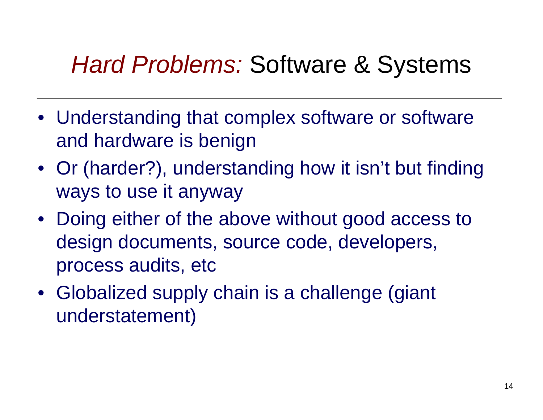# *Hard Problems:* Software & Systems

- Understanding that complex software or software and hardware is benign
- Or (harder?), understanding how it isn't but finding ways to use it anyway
- Doing either of the above without good access to design documents, source code, developers, process audits, etc
- Globalized supply chain is a challenge (giant understatement)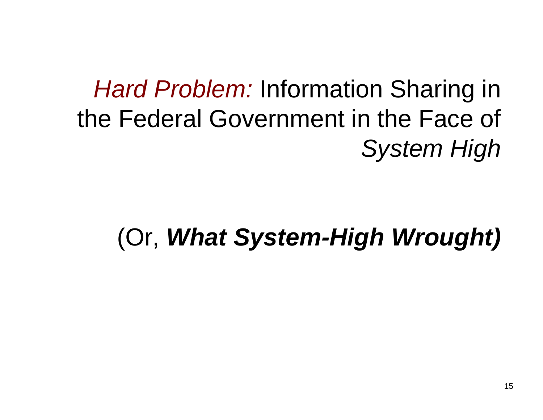# *Hard Problem:* Information Sharing in the Federal Government in the Face of *System High*

### (Or, *What System-High Wrought)*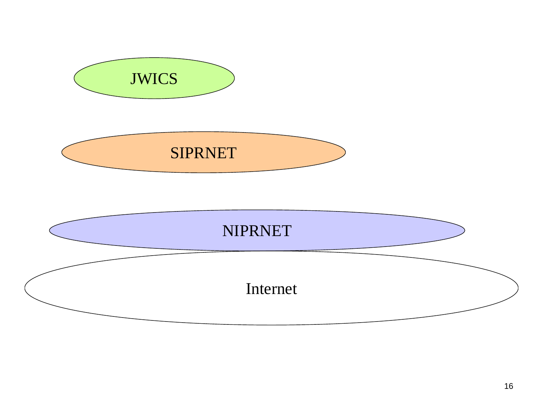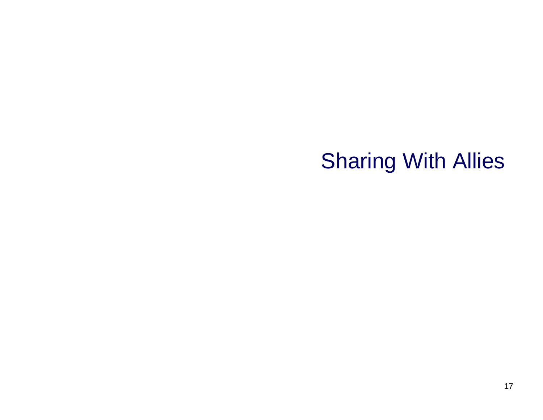#### Sharing With Allies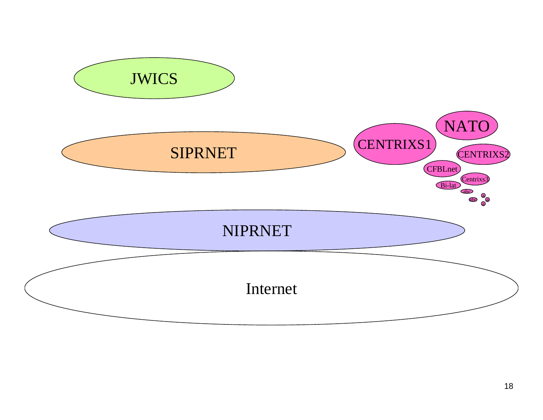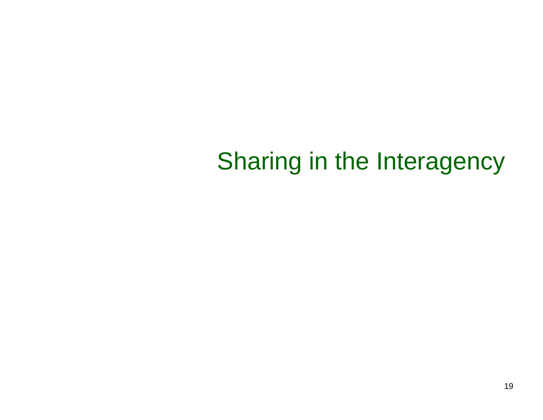# Sharing in the Interagency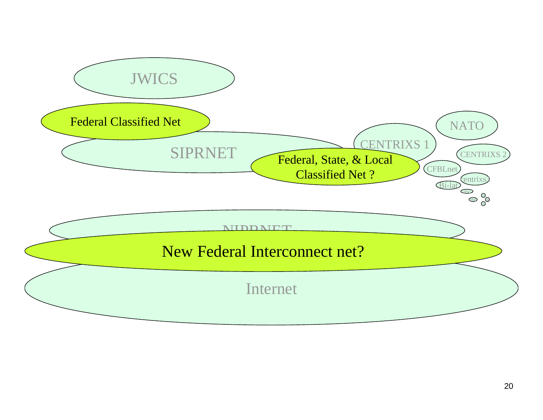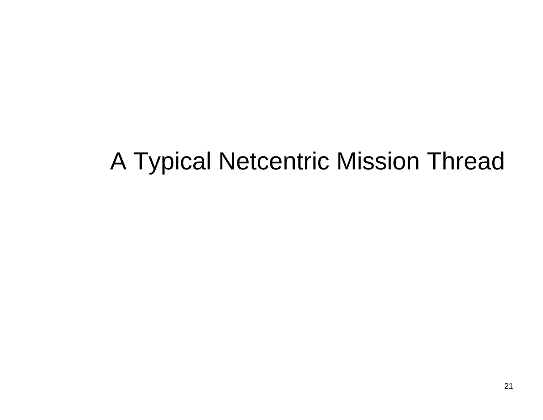# A Typical Netcentric Mission Thread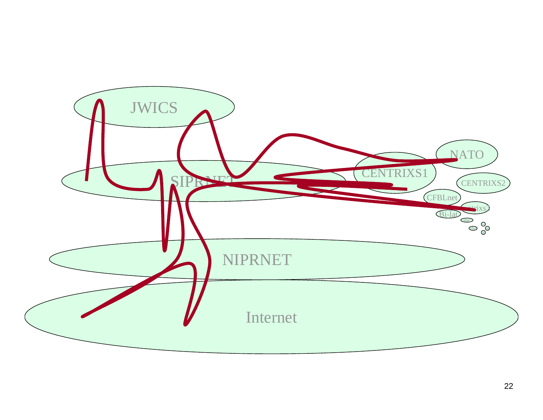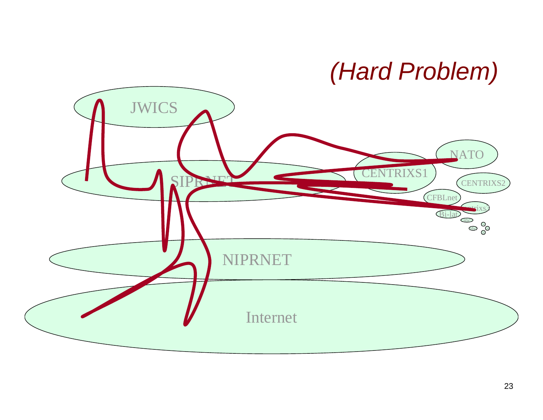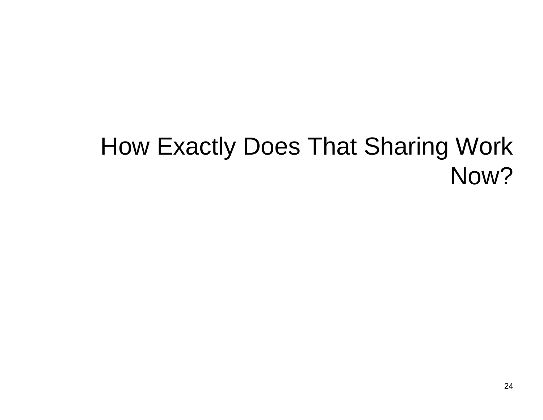# How Exactly Does That Sharing Work Now?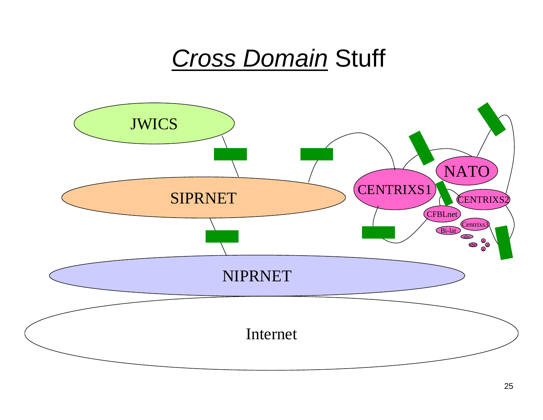### *Cross Domain* Stuff

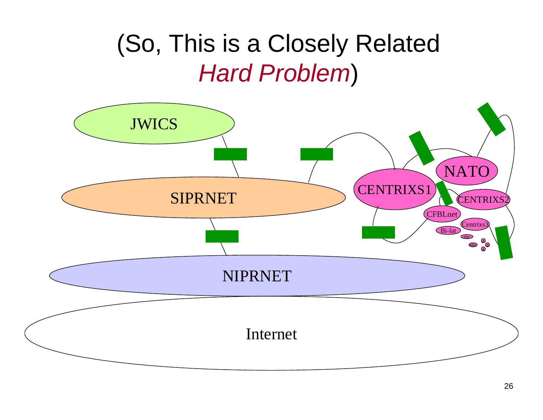### (So, This is a Closely Related *Hard Problem*)

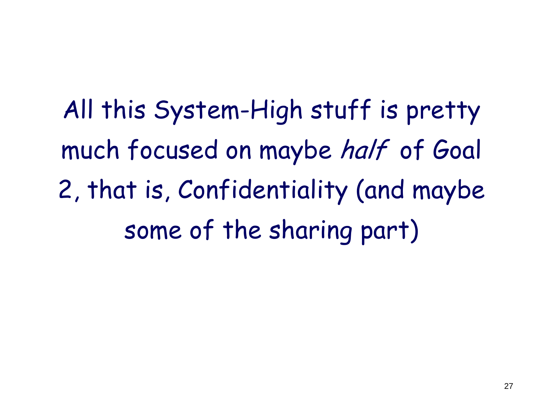All this System-High stuff is pretty much focused on maybe half of Goal 2, that is, Confidentiality (and maybe some of the sharing part)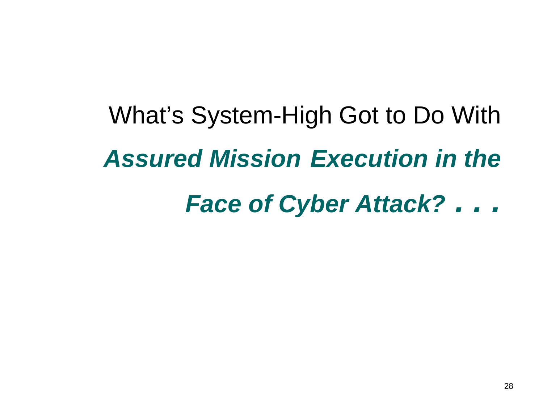# What's System-High Got to Do With *Assured Mission Execution in the*

# *Face of Cyber Attack? . . .*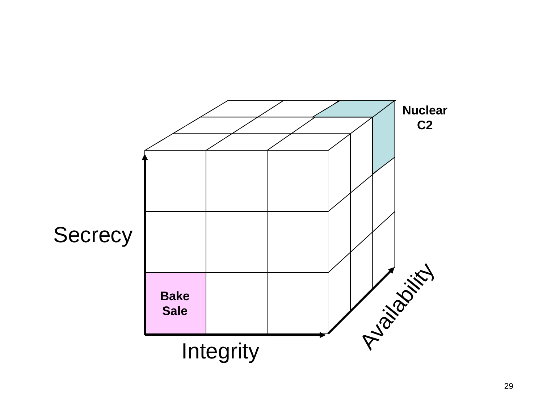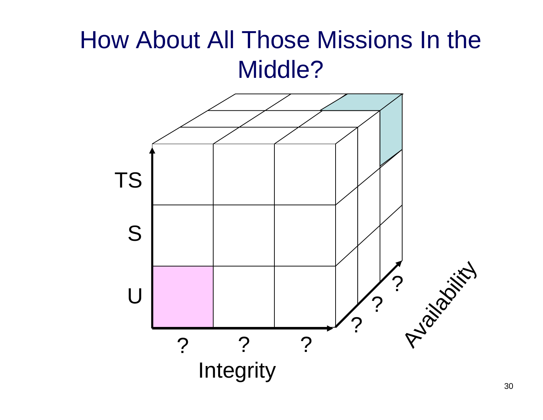### How About All Those Missions In the Middle?

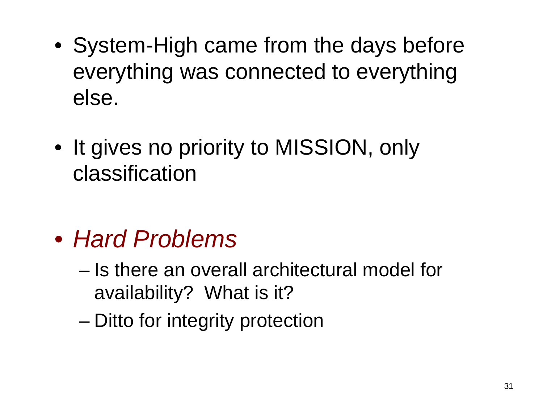- System-High came from the days before everything was connected to everything else.
- It gives no priority to MISSION, only classification

- *Hard Problems*
	- Is there an overall architectural model for availability? What is it?
	- and the state of the state Ditto for integrity protection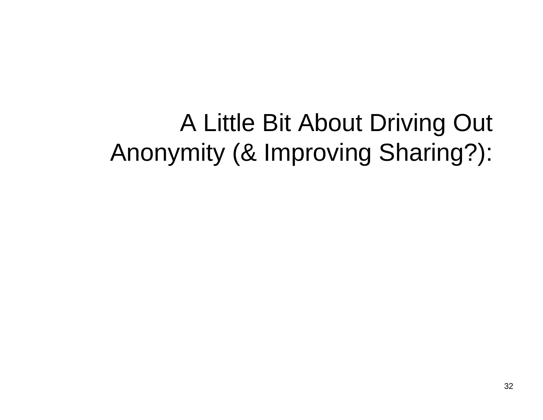A Little Bit About Driving Out Anonymity (& Improving Sharing?):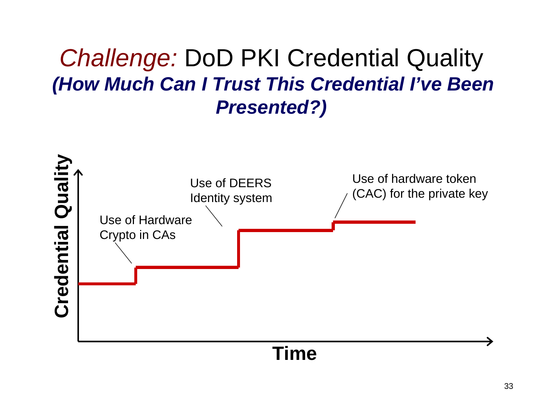#### *Challenge:* DoD PKI Credential Quality *(How Much Can I Trust This Credential I've Been Presented?)*

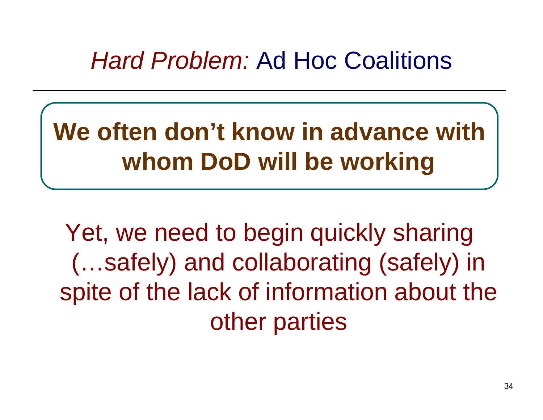### *Hard Problem:* Ad Hoc Coalitions

# **We often don't know in advance with whom DoD will be working**

Yet, we need to begin quickly sharing (…safely) and collaborating (safely) in spite of the lack of information about the other parties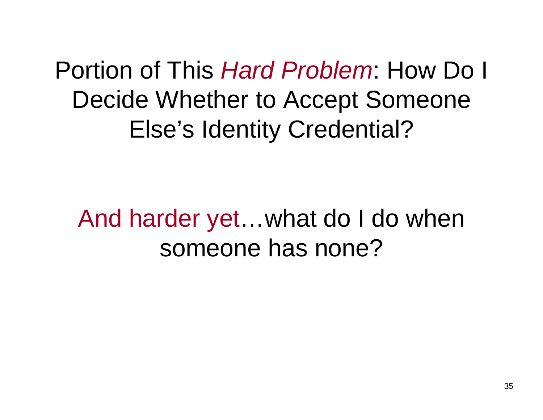Portion of This *Hard Problem*: How Do I Decide Whether to Accept Someone Else's Identity Credential?

And harder yet…what do I do when someone has none?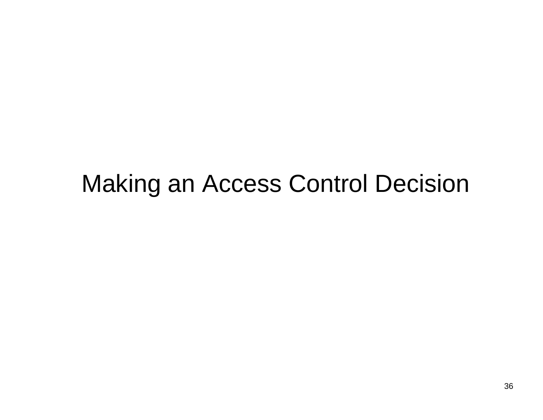### Making an Access Control Decision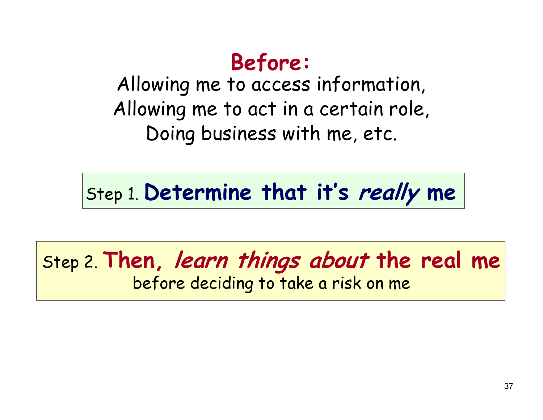#### **Before:**

Allowing me to access information, Allowing me to act in a certain role, Doing business with me, etc.

Step 1. **Determine that it's really me**

#### Step 2. **Then, learn things about the real me** before deciding to take a risk on me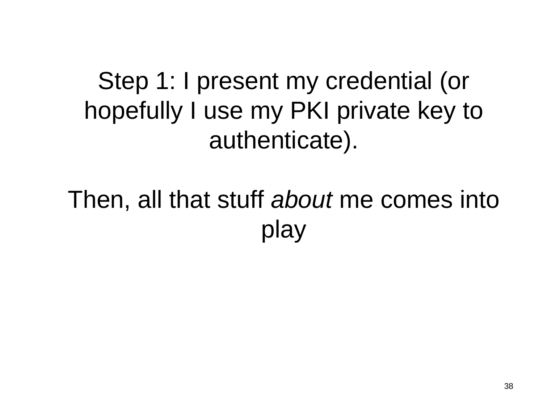Step 1: I present my credential (or hopefully I use my PKI private key to authenticate).

Then, all that stuff *about* me comes into play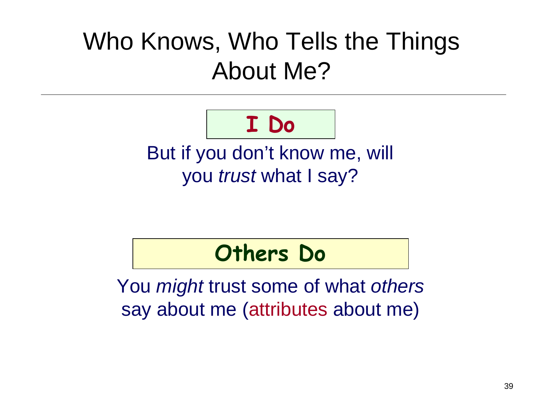## Who Knows, Who Tells the Things About Me?

# **I Do**

But if you don't know me, will you *trust* what I say?

#### **Others Do**

You *might* trust some of what *others*  say about me (attributes about me)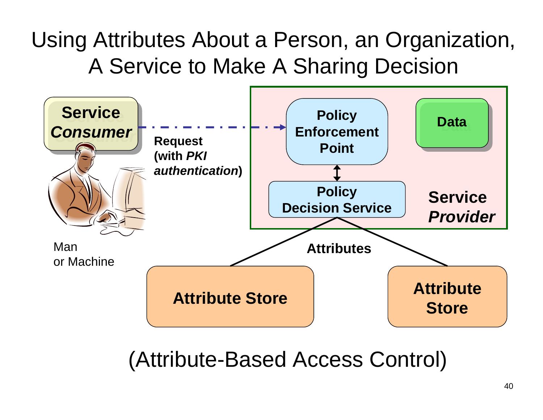#### Using Attributes About a Person, an Organization, A Service to Make A Sharing Decision



(Attribute-Based Access Control)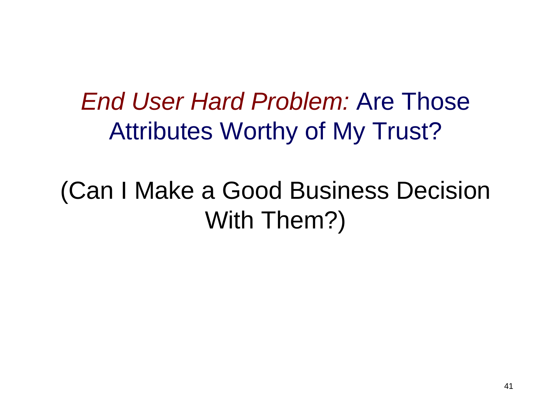### *End User Hard Problem:* Are Those Attributes Worthy of My Trust?

# (Can I Make a Good Business Decision With Them?)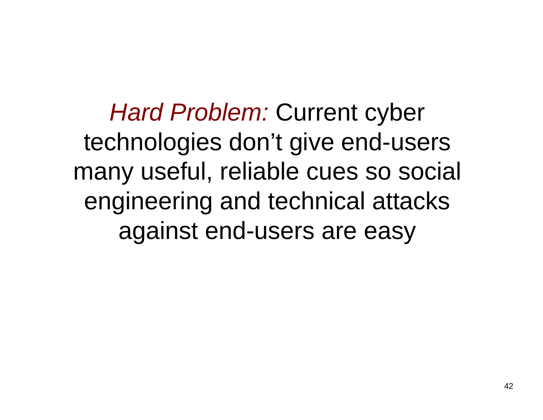**Hard Problem: Current cyber** technologies don't give end-users many useful, reliable cues so social engineering and technical attacks against end-users are easy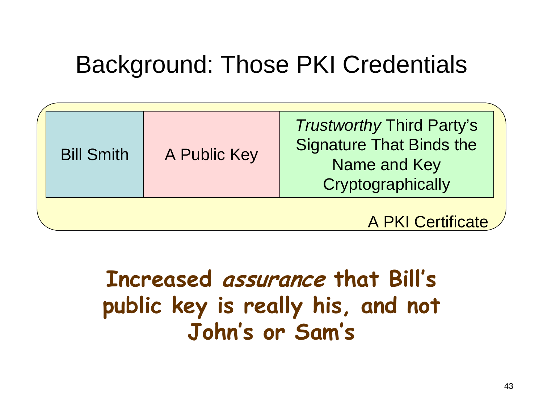# Background: Those PKI Credentials

| <b>Bill Smith</b> | A Public Key | <b>Trustworthy Third Party's</b><br><b>Signature That Binds the</b><br>Name and Key<br>Cryptographically |
|-------------------|--------------|----------------------------------------------------------------------------------------------------------|
|                   |              | A PKI Certificate /                                                                                      |

### **Increased assurance that Bill's public key is really his, and not John's or Sam's**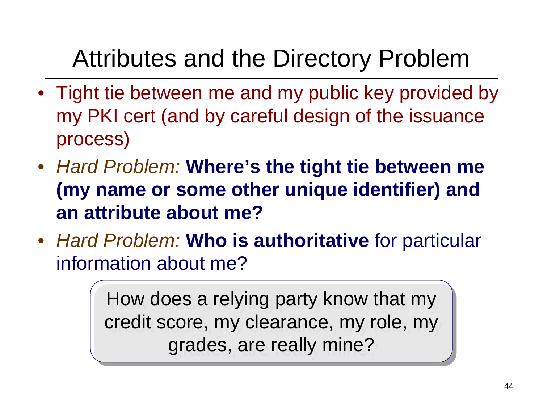## Attributes and the Directory Problem

- Tight tie between me and my public key provided by my PKI cert (and by careful design of the issuance process)
- *Hard Problem:* **Where's the tight tie between me (my name or some other unique identifier) and an attribute about me?**
- *Hard Problem:* **Who is authoritative** for particular information about me?

How does a relying party know that my How does a relying party know that my credit score, my clearance, my role, my credit score, my clearance, my role, my grades, are really mine? grades, are really mine?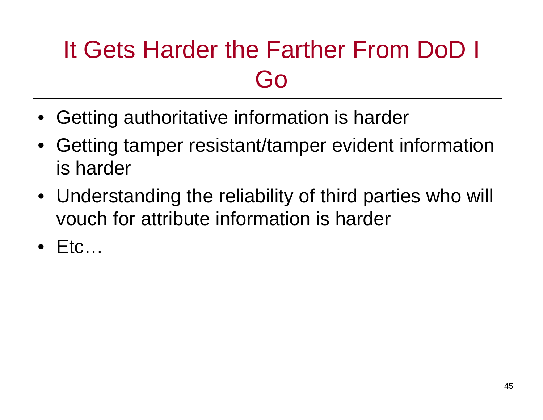# It Gets Harder the Farther From DoD I Go

- Getting authoritative information is harder
- Getting tamper resistant/tamper evident information is harder
- Understanding the reliability of third parties who will vouch for attribute information is harder
- •Etc…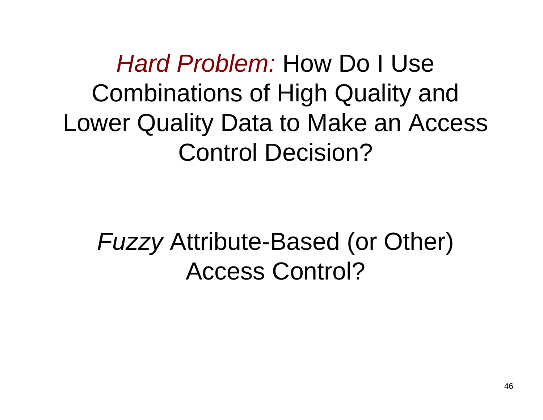*Hard Problem:* How Do I Use Combinations of High Quality and Lower Quality Data to Make an Access Control Decision?

# *Fuzzy* Attribute-Based (or Other) Access Control?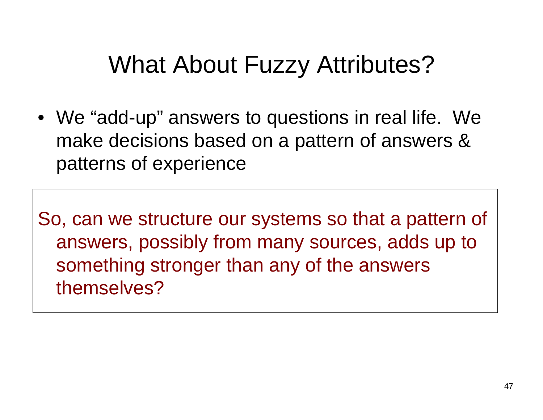## What About Fuzzy Attributes?

• We "add-up" answers to questions in real life. We make decisions based on a pattern of answers & patterns of experience

So, can we structure our systems so that a pattern of answers, possibly from many sources, adds up to something stronger than any of the answers themselves?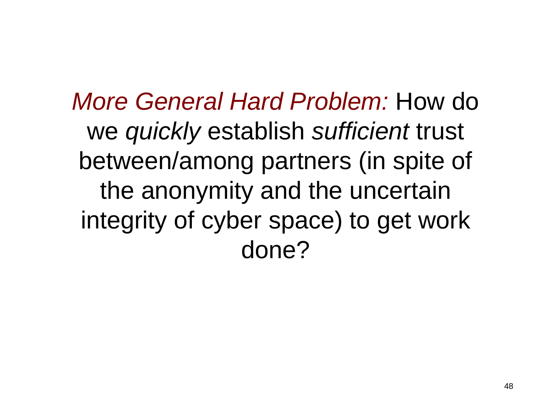*More General Hard Problem:* How do we *quickly* establish *sufficient* trust between/among partners (in spite of the anonymity and the uncertain integrity of cyber space) to get work done?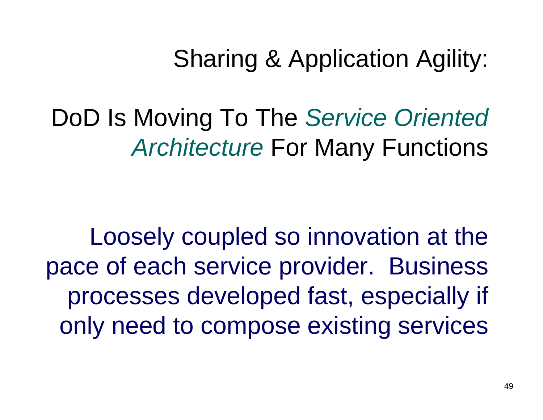Sharing & Application Agility:

DoD Is Moving To The *Service Oriented Architecture* For Many Functions

Loosely coupled so innovation at the pace of each service provider. Business processes developed fast, especially if only need to compose existing services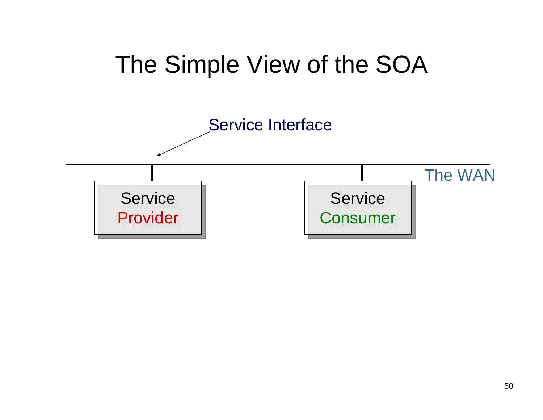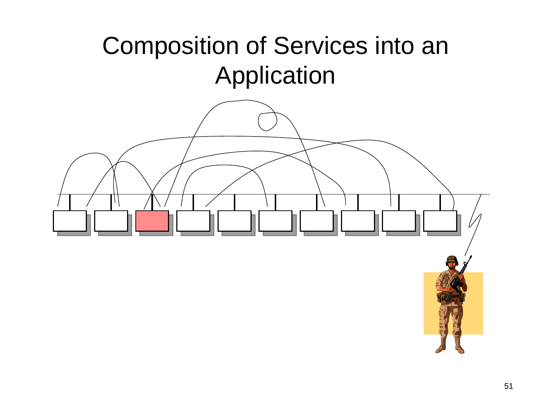### Composition of Services into an Application

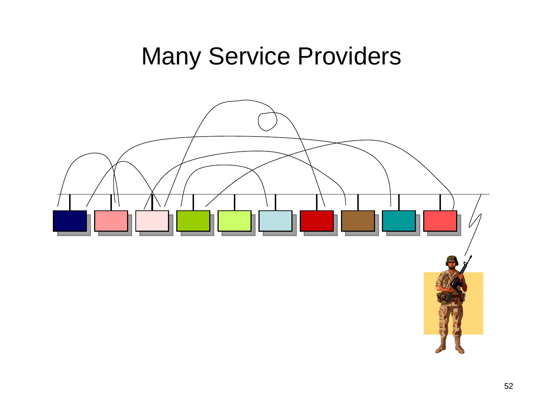### Many Service Providers

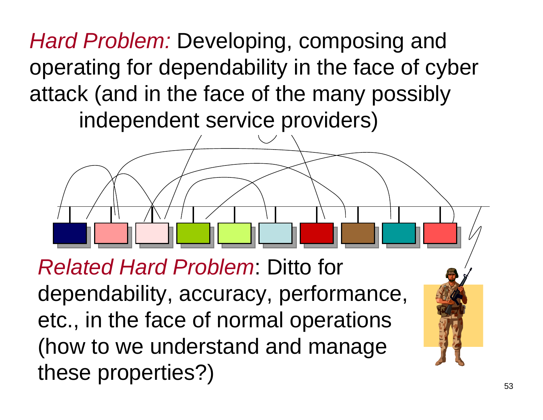*Hard Problem:* Developing, composing and operating for dependability in the face of cyber attack (and in the face of the many possibly independent service providers)

*Related Hard Problem*: Ditto for dependability, accuracy, performance, etc., in the face of normal operations (how to we understand and manage these properties?)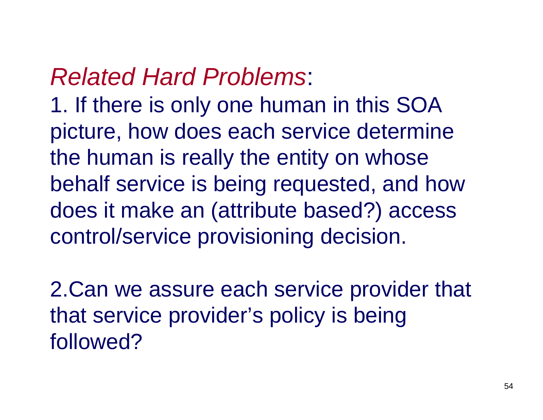### *Related Hard Problems*:

1. If there is only one human in this SOA picture, how does each service determine the human is really the entity on whose behalf service is being requested, and how does it make an (attribute based?) access control/service provisioning decision.

2.Can we assure each service provider that that service provider's policy is being followed?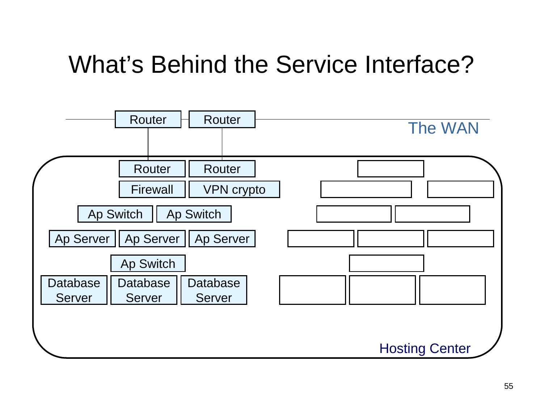# What's Behind the Service Interface?

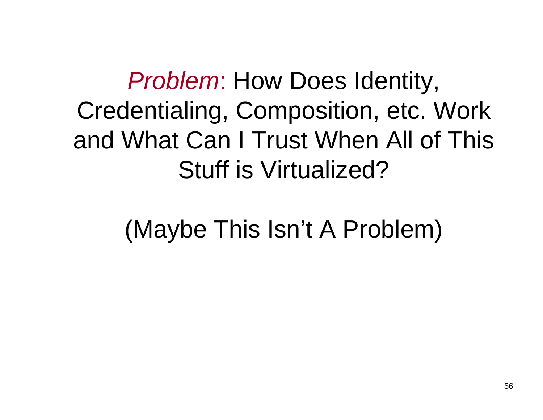*Problem*: How Does Identity, Credentialing, Composition, etc. Work and What Can I Trust When All of This Stuff is Virtualized?

(Maybe This Isn't A Problem)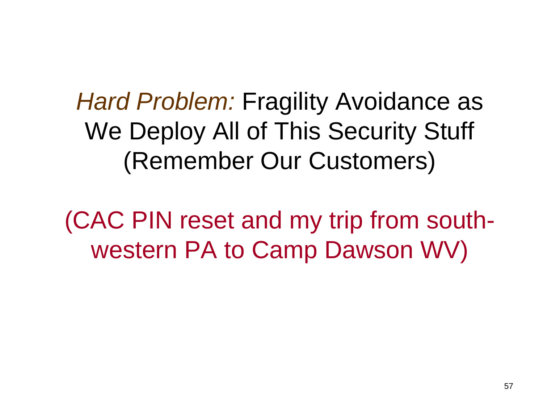*Hard Problem:* Fragility Avoidance as We Deploy All of This Security Stuff (Remember Our Customers)

(CAC PIN reset and my trip from southwestern PA to Camp Dawson WV)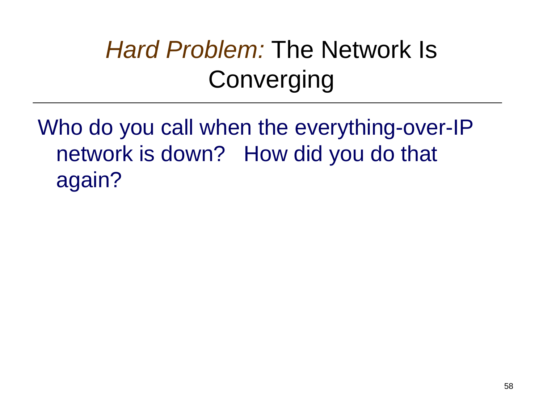# **Hard Problem: The Network Is Converging**

Who do you call when the everything-over-IP network is down? How did you do that again?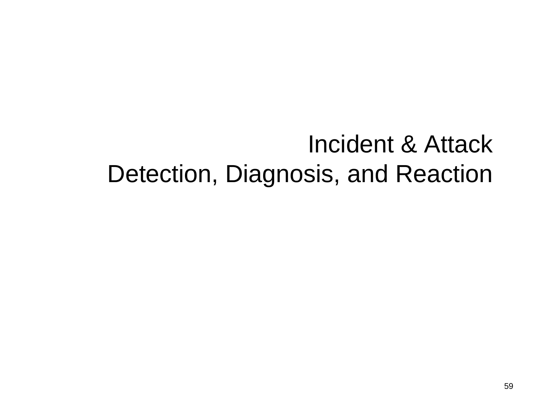### Incident & Attack Detection, Diagnosis, and Reaction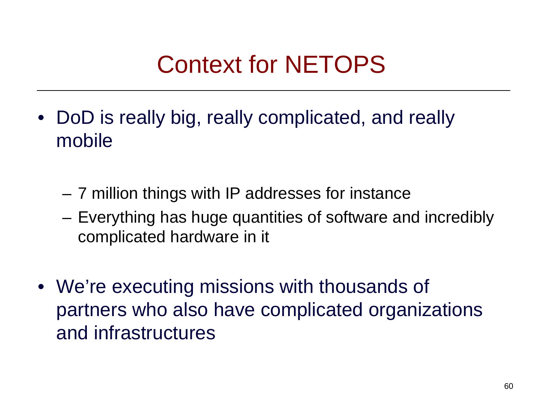# Context for NETOPS

- •DoD is really big, really complicated, and really mobile
	- and the state of the 7 million things with IP addresses for instance
	- and the state of the Everything has huge quantities of software and incredibly complicated hardware in it
- We're executing missions with thousands of partners who also have complicated organizations and infrastructures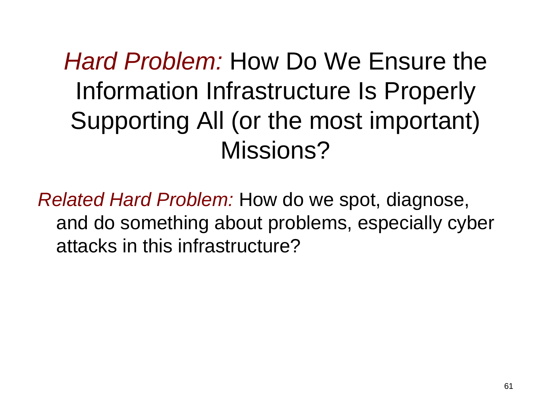*Hard Problem:* How Do We Ensure the Information Infrastructure Is Properly Supporting All (or the most important) Missions?

*Related Hard Problem:* How do we spot, diagnose, and do something about problems, especially cyber attacks in this infrastructure?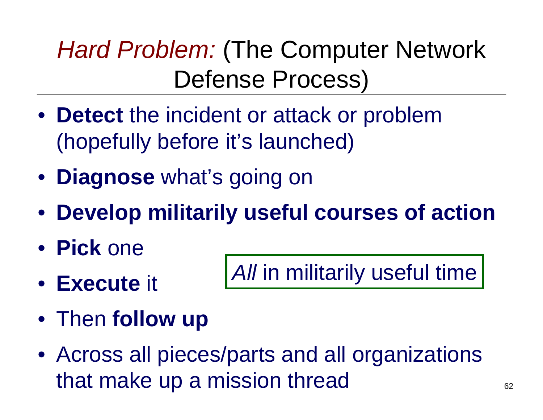# **Hard Problem: (The Computer Network)** Defense Process)

- **Detect** the incident or attack or problem (hopefully before it's launched)
- **Diagnose** what's going on
- **Develop militarily useful courses of action**
- **Pick** one
- **Execute** it

*All* in militarily useful time

- Then **follow up**
- Across all pieces/parts and all organizations that make up a mission thread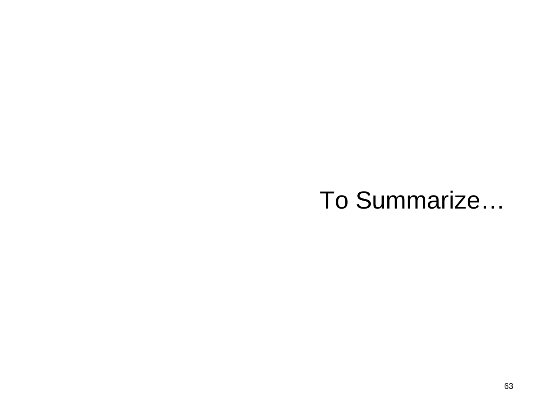### To Summarize…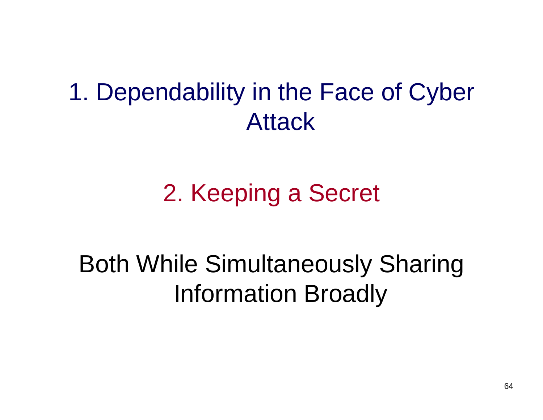### 1. Dependability in the Face of Cyber Attack

# 2. Keeping a Secret

### Both While Simultaneously Sharing Information Broadly